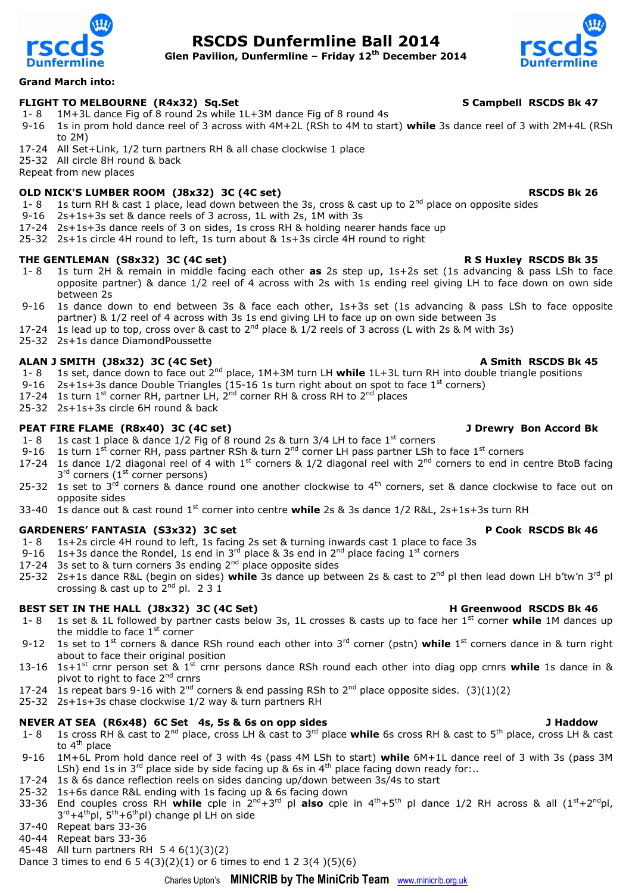

# **RSCDS Dunfermline Ball 2014**

**Glen Pavilion, Dunfermline – Friday 12th December 2014**



### **Grand March into:**

### FLIGHT TO MELBOURNE (R4x32) Sq.Set SCAMP S Campbell RSCDS Bk 47

- 1- 8 1M+3L dance Fig of 8 round 2s while 1L+3M dance Fig of 8 round 4s
- 9-16 1s in prom hold dance reel of 3 across with 4M+2L (RSh to 4M to start) **while** 3s dance reel of 3 with 2M+4L (RSh to 2M)
- 17-24 All Set+Link, 1/2 turn partners RH & all chase clockwise 1 place

25-32 All circle 8H round & back

Repeat from new places

## **OLD NICK'S LUMBER ROOM (J8x32) 3C (4C set) RSCDS Bk 26 RSCDS Bk 26**

- 1- 8 1s turn RH & cast 1 place, lead down between the 3s, cross & cast up to  $2^{nd}$  place on opposite sides
- 9-16 2s+1s+3s set & dance reels of 3 across, 1L with 2s, 1M with 3s
- 17-24 2s+1s+3s dance reels of 3 on sides, 1s cross RH & holding nearer hands face up
- 25-32 2s+1s circle 4H round to left, 1s turn about & 1s+3s circle 4H round to right

### **THE GENTLEMAN (S8x32) 3C (4C set) R S Huxley RSCDS Bk 35**

- 1- 8 1s turn 2H & remain in middle facing each other **as** 2s step up, 1s+2s set (1s advancing & pass LSh to face opposite partner) & dance 1/2 reel of 4 across with 2s with 1s ending reel giving LH to face down on own side between 2s
- 9-16 1s dance down to end between 3s & face each other, 1s+3s set (1s advancing & pass LSh to face opposite partner) & 1/2 reel of 4 across with 3s 1s end giving LH to face up on own side between 3s
- 17-24 1s lead up to top, cross over & cast to  $2^{nd}$  place &  $1/2$  reels of 3 across (L with 2s & M with 3s)
- 25-32 2s+1s dance DiamondPoussette

### ALAN J SMITH (J8x32) 3C (4C Set) A Smith RSCDS Bk 45

- 1- 8 1s set, dance down to face out 2nd place, 1M+3M turn LH **while** 1L+3L turn RH into double triangle positions
- 9-16 2s+1s+3s dance Double Triangles (15-16 1s turn right about on spot to face  $1<sup>st</sup>$  corners)
- 17-24 1s turn  $1^{st}$  corner RH, partner LH,  $2^{nd}$  corner RH & cross RH to  $2^{nd}$  places
- 25-32 2s+1s+3s circle 6H round & back

### **PEAT FIRE FLAME (R8x40) 3C (4C set) J Drewry Bon Accord Bk**

- 1- 8 1s cast 1 place & dance  $1/2$  Fig of 8 round 2s & turn 3/4 LH to face 1<sup>st</sup> corners
- 9-16 1s turn 1<sup>st</sup> corner RH, pass partner RSh & turn 2<sup>nd</sup> corner LH pass partner LSh to face 1<sup>st</sup> corners
- 17-24 1s dance 1/2 diagonal reel of 4 with  $1^{\text{st}}$  corners & 1/2 diagonal reel with  $2^{\text{nd}}$  corners to end in centre BtoB facing  $3<sup>rd</sup>$  corners ( $1<sup>st</sup>$  corner persons)
- 25-32 1s set to  $3^{rd}$  corners & dance round one another clockwise to  $4^{th}$  corners, set & dance clockwise to face out on opposite sides
- 33-40 1s dance out & cast round 1st corner into centre **while** 2s & 3s dance 1/2 R&L, 2s+1s+3s turn RH

# **GARDENERS' FANTASIA (S3x32) 3C set P Cook RSCDS Bk 46**

- 1- 8 1s+2s circle 4H round to left, 1s facing 2s set & turning inwards cast 1 place to face 3s
- 9-16 1s+3s dance the Rondel, 1s end in 3<sup>rd</sup> place & 3s end in 2<sup>nd</sup> place facing 1<sup>st</sup> corners
- 17-24 3s set to & turn corners 3s ending  $2<sup>nd</sup>$  place opposite sides
- 25-32 2s+1s dance R&L (begin on sides) **while** 3s dance up between 2s & cast to 2nd pl then lead down LH b'tw'n 3rd pl crossing & cast up to  $2^{nd}$  pl. 2 3 1

# **BEST SET IN THE HALL (J8x32) 3C (4C Set) H** Greenwood RSCDS Bk 46

- 1- 8 1s set & 1L followed by partner casts below 3s, 1L crosses & casts up to face her 1st corner **while** 1M dances up the middle to face  $1<sup>st</sup>$  corner
- 9-12 1s set to 1<sup>st</sup> corners & dance RSh round each other into 3<sup>rd</sup> corner (pstn) **while** 1<sup>st</sup> corners dance in & turn right about to face their original position
- 13-16 1s+1st crnr person set & 1st crnr persons dance RSh round each other into diag opp crnrs **while** 1s dance in & pivot to right to face 2<sup>nd</sup> crnrs
- 17-24 1s repeat bars 9-16 with 2<sup>nd</sup> corners & end passing RSh to 2<sup>nd</sup> place opposite sides. (3)(1)(2)
- 25-32 2s+1s+3s chase clockwise 1/2 way & turn partners RH

### **NEVER AT SEA (R6x48) 6C Set 4s, 5s & 6s on opp sides J Haddow**

- 1- 8 1s cross RH & cast to 2nd place, cross LH & cast to 3rd place **while** 6s cross RH & cast to 5th place, cross LH & cast to  $4<sup>th</sup>$  place
- 9-16 1M+6L Prom hold dance reel of 3 with 4s (pass 4M LSh to start) **while** 6M+1L dance reel of 3 with 3s (pass 3M LSh) end 1s in 3<sup>rd</sup> place side by side facing up & 6s in 4<sup>th</sup> place facing down ready for:..
- 17-24 1s & 6s dance reflection reels on sides dancing up/down between 3s/4s to start
- 25-32 1s+6s dance R&L ending with 1s facing up & 6s facing down
- 33-36 End couples cross RH **while** cple in 2nd+3rd pl **also** cple in 4th+5th pl dance 1/2 RH across & all (1st+2ndpl, 3<sup>rd</sup>+4<sup>th</sup>pl, 5<sup>th</sup>+6<sup>th</sup>pl) change pl LH on side
- 37-40 Repeat bars 33-36
- 40-44 Repeat bars 33-36
- 45-48 All turn partners RH 5 4 6(1)(3)(2)

Dance 3 times to end 6 5 4(3)(2)(1) or 6 times to end 1 2 3(4 )(5)(6)

# Charles Upton's **MINICRIB by The MiniCrib Team** [www.minicrib.org.uk](http://www.minicrib.org.uk/)